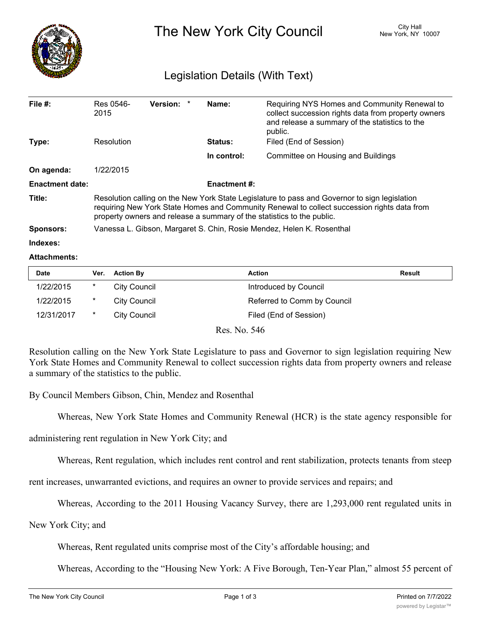

The New York City Council New York, NY 10007

## Legislation Details (With Text)

| File $#$ :             | Res 0546-<br>2015                                                                                                                                                                                                                                                      | <b>Version:</b> | $\ast$ | Name:          | Requiring NYS Homes and Community Renewal to<br>collect succession rights data from property owners<br>and release a summary of the statistics to the<br>public. |  |  |
|------------------------|------------------------------------------------------------------------------------------------------------------------------------------------------------------------------------------------------------------------------------------------------------------------|-----------------|--------|----------------|------------------------------------------------------------------------------------------------------------------------------------------------------------------|--|--|
| Type:                  | Resolution                                                                                                                                                                                                                                                             |                 |        | <b>Status:</b> | Filed (End of Session)                                                                                                                                           |  |  |
|                        |                                                                                                                                                                                                                                                                        |                 |        | In control:    | Committee on Housing and Buildings                                                                                                                               |  |  |
| On agenda:             | 1/22/2015                                                                                                                                                                                                                                                              |                 |        |                |                                                                                                                                                                  |  |  |
| <b>Enactment date:</b> | <b>Enactment #:</b>                                                                                                                                                                                                                                                    |                 |        |                |                                                                                                                                                                  |  |  |
| Title:                 | Resolution calling on the New York State Legislature to pass and Governor to sign legislation<br>requiring New York State Homes and Community Renewal to collect succession rights data from<br>property owners and release a summary of the statistics to the public. |                 |        |                |                                                                                                                                                                  |  |  |
| <b>Sponsors:</b>       | Vanessa L. Gibson, Margaret S. Chin, Rosie Mendez, Helen K. Rosenthal                                                                                                                                                                                                  |                 |        |                |                                                                                                                                                                  |  |  |
| Indexes:               |                                                                                                                                                                                                                                                                        |                 |        |                |                                                                                                                                                                  |  |  |

## **Attachments:**

| <b>Date</b> | Ver.   | <b>Action By</b> | <b>Action</b>               | Result |
|-------------|--------|------------------|-----------------------------|--------|
| 1/22/2015   | *      | City Council     | Introduced by Council       |        |
| 1/22/2015   | $\ast$ | City Council     | Referred to Comm by Council |        |
| 12/31/2017  | *      | City Council     | Filed (End of Session)      |        |

Res. No. 546

Resolution calling on the New York State Legislature to pass and Governor to sign legislation requiring New York State Homes and Community Renewal to collect succession rights data from property owners and release a summary of the statistics to the public.

By Council Members Gibson, Chin, Mendez and Rosenthal

Whereas, New York State Homes and Community Renewal (HCR) is the state agency responsible for

administering rent regulation in New York City; and

Whereas, Rent regulation, which includes rent control and rent stabilization, protects tenants from steep

rent increases, unwarranted evictions, and requires an owner to provide services and repairs; and

Whereas, According to the 2011 Housing Vacancy Survey, there are 1,293,000 rent regulated units in

New York City; and

Whereas, Rent regulated units comprise most of the City's affordable housing; and

Whereas, According to the "Housing New York: A Five Borough, Ten-Year Plan," almost 55 percent of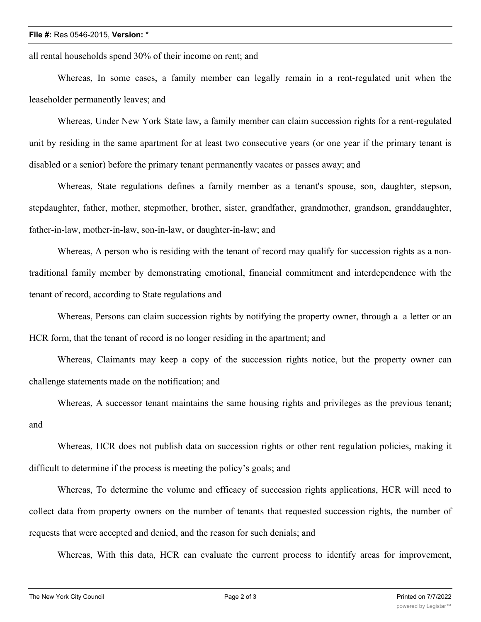## **File #:** Res 0546-2015, **Version:** \*

all rental households spend 30% of their income on rent; and

Whereas, In some cases, a family member can legally remain in a rent-regulated unit when the leaseholder permanently leaves; and

Whereas, Under New York State law, a family member can claim succession rights for a rent-regulated unit by residing in the same apartment for at least two consecutive years (or one year if the primary tenant is disabled or a senior) before the primary tenant permanently vacates or passes away; and

Whereas, State regulations defines a family member as a tenant's spouse, son, daughter, stepson, stepdaughter, father, mother, stepmother, brother, sister, grandfather, grandmother, grandson, granddaughter, father-in-law, mother-in-law, son-in-law, or daughter-in-law; and

Whereas, A person who is residing with the tenant of record may qualify for succession rights as a nontraditional family member by demonstrating emotional, financial commitment and interdependence with the tenant of record, according to State regulations and

Whereas, Persons can claim succession rights by notifying the property owner, through a a letter or an HCR form, that the tenant of record is no longer residing in the apartment; and

Whereas, Claimants may keep a copy of the succession rights notice, but the property owner can challenge statements made on the notification; and

Whereas, A successor tenant maintains the same housing rights and privileges as the previous tenant; and

Whereas, HCR does not publish data on succession rights or other rent regulation policies, making it difficult to determine if the process is meeting the policy's goals; and

Whereas, To determine the volume and efficacy of succession rights applications, HCR will need to collect data from property owners on the number of tenants that requested succession rights, the number of requests that were accepted and denied, and the reason for such denials; and

Whereas, With this data, HCR can evaluate the current process to identify areas for improvement,